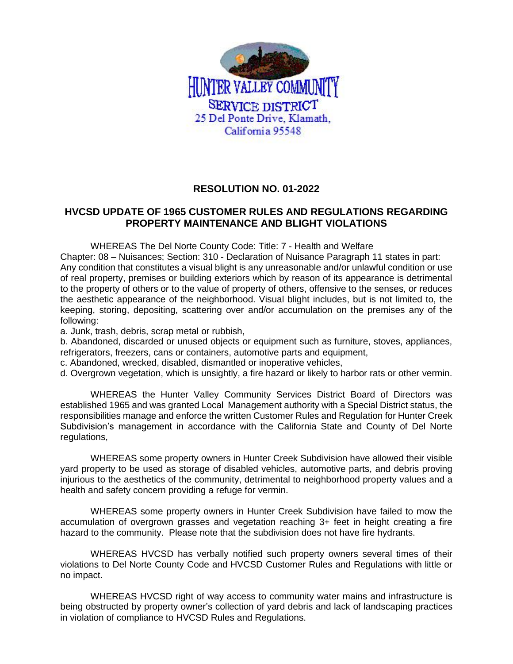

## **RESOLUTION NO. 01-2022**

## **HVCSD UPDATE OF 1965 CUSTOMER RULES AND REGULATIONS REGARDING PROPERTY MAINTENANCE AND BLIGHT VIOLATIONS**

WHEREAS The Del Norte County Code: Title: 7 - Health and Welfare

Chapter: 08 – Nuisances; Section: 310 - Declaration of Nuisance Paragraph 11 states in part: Any condition that constitutes a visual blight is any unreasonable and/or unlawful condition or use of real property, premises or building exteriors which by reason of its appearance is detrimental to the property of others or to the value of property of others, offensive to the senses, or reduces the aesthetic appearance of the neighborhood. Visual blight includes, but is not limited to, the keeping, storing, depositing, scattering over and/or accumulation on the premises any of the following:

a. Junk, trash, debris, scrap metal or rubbish,

b. Abandoned, discarded or unused objects or equipment such as furniture, stoves, appliances, refrigerators, freezers, cans or containers, automotive parts and equipment,

c. Abandoned, wrecked, disabled, dismantled or inoperative vehicles,

d. Overgrown vegetation, which is unsightly, a fire hazard or likely to harbor rats or other vermin.

WHEREAS the Hunter Valley Community Services District Board of Directors was established 1965 and was granted Local Management authority with a Special District status, the responsibilities manage and enforce the written Customer Rules and Regulation for Hunter Creek Subdivision's management in accordance with the California State and County of Del Norte regulations,

WHEREAS some property owners in Hunter Creek Subdivision have allowed their visible yard property to be used as storage of disabled vehicles, automotive parts, and debris proving injurious to the aesthetics of the community, detrimental to neighborhood property values and a health and safety concern providing a refuge for vermin.

WHEREAS some property owners in Hunter Creek Subdivision have failed to mow the accumulation of overgrown grasses and vegetation reaching 3+ feet in height creating a fire hazard to the community. Please note that the subdivision does not have fire hydrants.

WHEREAS HVCSD has verbally notified such property owners several times of their violations to Del Norte County Code and HVCSD Customer Rules and Regulations with little or no impact.

WHEREAS HVCSD right of way access to community water mains and infrastructure is being obstructed by property owner's collection of yard debris and lack of landscaping practices in violation of compliance to HVCSD Rules and Regulations.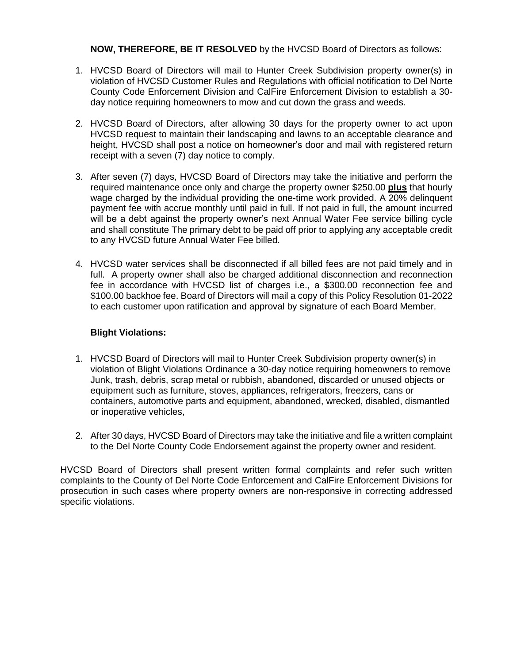**NOW, THEREFORE, BE IT RESOLVED** by the HVCSD Board of Directors as follows:

- 1. HVCSD Board of Directors will mail to Hunter Creek Subdivision property owner(s) in violation of HVCSD Customer Rules and Regulations with official notification to Del Norte County Code Enforcement Division and CalFire Enforcement Division to establish a 30 day notice requiring homeowners to mow and cut down the grass and weeds.
- 2. HVCSD Board of Directors, after allowing 30 days for the property owner to act upon HVCSD request to maintain their landscaping and lawns to an acceptable clearance and height, HVCSD shall post a notice on homeowner's door and mail with registered return receipt with a seven (7) day notice to comply.
- 3. After seven (7) days, HVCSD Board of Directors may take the initiative and perform the required maintenance once only and charge the property owner \$250.00 **plus** that hourly wage charged by the individual providing the one-time work provided. A 20% delinquent payment fee with accrue monthly until paid in full. If not paid in full, the amount incurred will be a debt against the property owner's next Annual Water Fee service billing cycle and shall constitute The primary debt to be paid off prior to applying any acceptable credit to any HVCSD future Annual Water Fee billed.
- 4. HVCSD water services shall be disconnected if all billed fees are not paid timely and in full. A property owner shall also be charged additional disconnection and reconnection fee in accordance with HVCSD list of charges i.e., a \$300.00 reconnection fee and \$100.00 backhoe fee. Board of Directors will mail a copy of this Policy Resolution 01-2022 to each customer upon ratification and approval by signature of each Board Member.

## **Blight Violations:**

- 1. HVCSD Board of Directors will mail to Hunter Creek Subdivision property owner(s) in violation of Blight Violations Ordinance a 30-day notice requiring homeowners to remove Junk, trash, debris, scrap metal or rubbish, abandoned, discarded or unused objects or equipment such as furniture, stoves, appliances, refrigerators, freezers, cans or containers, automotive parts and equipment, abandoned, wrecked, disabled, dismantled or inoperative vehicles,
- 2. After 30 days, HVCSD Board of Directors may take the initiative and file a written complaint to the Del Norte County Code Endorsement against the property owner and resident.

HVCSD Board of Directors shall present written formal complaints and refer such written complaints to the County of Del Norte Code Enforcement and CalFire Enforcement Divisions for prosecution in such cases where property owners are non-responsive in correcting addressed specific violations.